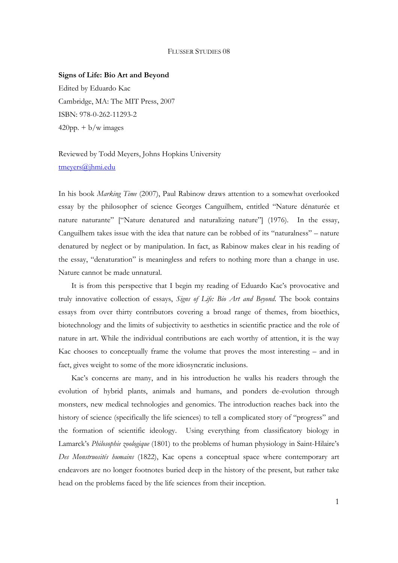## FLUSSER STUDIES 08

## **Signs of Life: Bio Art and Beyond**

Edited by Eduardo Kac Cambridge, MA: The MIT Press, 2007 ISBN: 978-0-262-11293-2  $420$ pp.  $+ b/w$  images

## Reviewed by Todd Meyers, Johns Hopkins University tmeyers@jhmi.edu

In his book *Marking Time* (2007), Paul Rabinow draws attention to a somewhat overlooked essay by the philosopher of science Georges Canguilhem, entitled "Nature dénaturée et nature naturante" ["Nature denatured and naturalizing nature"] (1976). In the essay, Canguilhem takes issue with the idea that nature can be robbed of its "naturalness" – nature denatured by neglect or by manipulation. In fact, as Rabinow makes clear in his reading of the essay, "denaturation" is meaningless and refers to nothing more than a change in use. Nature cannot be made unnatural.

It is from this perspective that I begin my reading of Eduardo Kac's provocative and truly innovative collection of essays, *Signs of Life: Bio Art and Beyond*. The book contains essays from over thirty contributors covering a broad range of themes, from bioethics, biotechnology and the limits of subjectivity to aesthetics in scientific practice and the role of nature in art. While the individual contributions are each worthy of attention, it is the way Kac chooses to conceptually frame the volume that proves the most interesting – and in fact, gives weight to some of the more idiosyncratic inclusions.

Kac's concerns are many, and in his introduction he walks his readers through the evolution of hybrid plants, animals and humans, and ponders de-evolution through monsters, new medical technologies and genomics. The introduction reaches back into the history of science (specifically the life sciences) to tell a complicated story of "progress" and the formation of scientific ideology. Using everything from classificatory biology in Lamarck's *Philosophie zoologique* (1801) to the problems of human physiology in Saint-Hilaire's *Des Monstruosités humains* (1822), Kac opens a conceptual space where contemporary art endeavors are no longer footnotes buried deep in the history of the present, but rather take head on the problems faced by the life sciences from their inception.